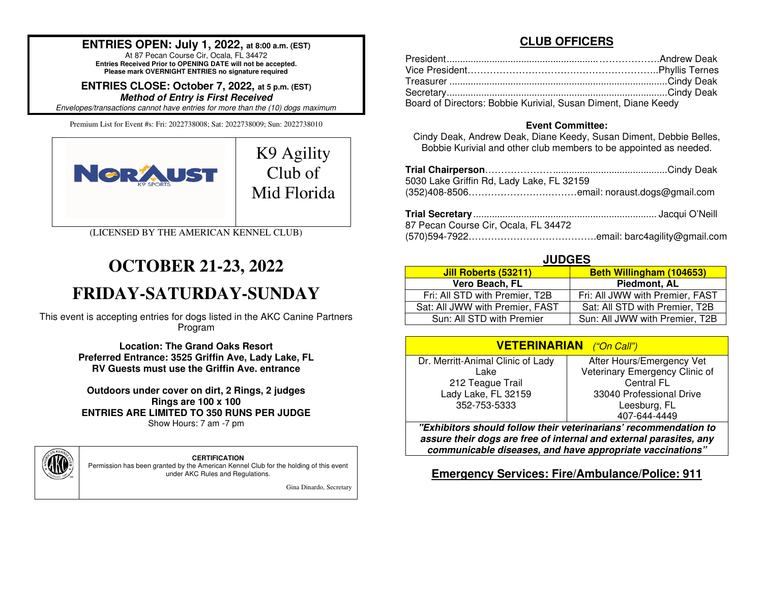## **ENTRIES OPEN: July 1, 2022, at 8:00 a.m. (EST)**

At 87 Pecan Course Cir, Ocala, FL 34472 **Entries Received Prior to OPENING DATE will not be accepted. Please mark OVERNIGHT ENTRIES no signature required**

**ENTRIES CLOSE: October 7, 2022, at 5 p.m. (EST)**

**Method of Entry is First Received**

*Envelopes/transactions cannot have entries for more than the (10) dogs maximum*.

Premium List for Event #s: Fri: 2022738008; Sat: 2022738009; Sun: 2022738010



(LICENSED BY THE AMERICAN KENNEL CLUB)

# **OCTOBER 21-23, 2022**

# **FRIDAY-SATURDAY-SUNDAY**

This event is accepting entries for dogs listed in the AKC Canine Partners Program

> **Location: The Grand Oaks Resort Preferred Entrance: 3525 Griffin Ave, Lady Lake, FLRV Guests must use the Griffin Ave. entrance**

**Outdoors under cover on dirt, 2 Rings, 2 judges Rings are 100 x 100 ENTRIES ARE LIMITED TO 350 RUNS PER JUDGE** Show Hours: 7 am -7 pm



**CERTIFICATION** 

 Permission has been granted by the American Kennel Club for the holding of this event under AKC Rules and Regulations.

Gina Dinardo, Secretary

### **CLUB OFFICERS**

| Board of Directors: Bobbie Kurivial, Susan Diment, Diane Keedy |  |
|----------------------------------------------------------------|--|

#### **Event Committee:**

 Cindy Deak, Andrew Deak, Diane Keedy, Susan Diment, Debbie Belles, Bobbie Kurivial and other club members to be appointed as needed.

| 5030 Lake Griffin Rd, Lady Lake, FL 32159 |  |
|-------------------------------------------|--|
| 87 Pecan Course Cir, Ocala, FL 34472      |  |
|                                           |  |

#### (570)594-7922………………………………….email: barc4agility@gmail.com

#### **JUDGES**

| <b>Jill Roberts (53211)</b>     | Beth Willingham (104653)        |
|---------------------------------|---------------------------------|
| Vero Beach, FL                  | Piedmont, AL                    |
| Fri: All STD with Premier, T2B  | Fri: All JWW with Premier, FAST |
| Sat: All JWW with Premier, FAST | Sat: All STD with Premier, T2B  |
| Sun: All STD with Premier       | Sun: All JWW with Premier, T2B  |

| <b>VETERINARIAN</b> ("On Call")   |                                |  |  |  |  |  |
|-----------------------------------|--------------------------------|--|--|--|--|--|
| Dr. Merritt-Animal Clinic of Lady | After Hours/Emergency Vet      |  |  |  |  |  |
| Lake                              | Veterinary Emergency Clinic of |  |  |  |  |  |
| 212 Teague Trail                  | Central FL                     |  |  |  |  |  |
| Lady Lake, FL 32159               | 33040 Professional Drive       |  |  |  |  |  |
| 352-753-5333                      | Leesburg, FL                   |  |  |  |  |  |
|                                   | 407-644-4449                   |  |  |  |  |  |

 **"Exhibitors should follow their veterinarians' recommendation to assure their dogs are free of internal and external parasites, any communicable diseases, and have appropriate vaccinations"** 

#### **Emergency Services: Fire/Ambulance/Police: 911**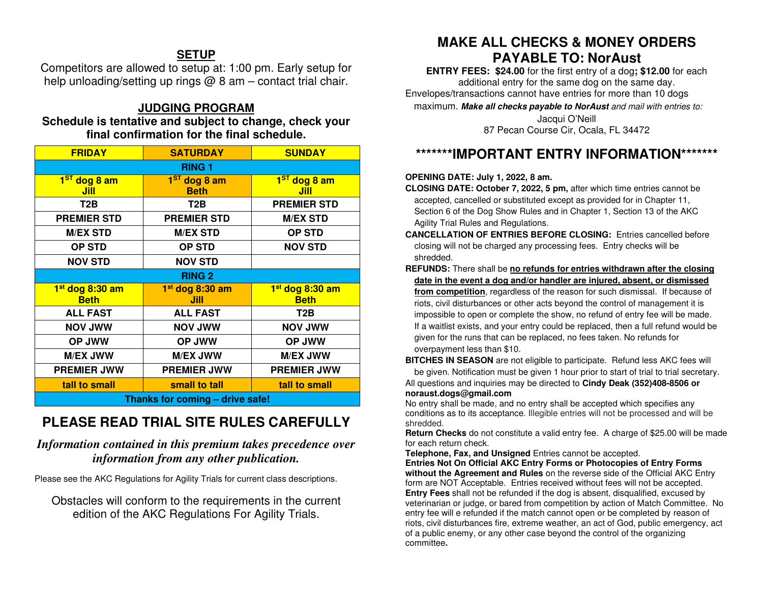## **SETUP**

 Competitors are allowed to setup at: 1:00 pm. Early setup for help unloading/setting up rings  $\omega$  8 am – contact trial chair.

## **JUDGING PROGRAM**

#### **Schedule is tentative and subject to change, check your final confirmation for the final schedule.**

| <b>FRIDAY</b>                              | <b>SATURDAY</b>                     |                                            |  |  |  |  |  |  |
|--------------------------------------------|-------------------------------------|--------------------------------------------|--|--|--|--|--|--|
| <b>RING 1</b>                              |                                     |                                            |  |  |  |  |  |  |
| 1 <sup>ST</sup> dog 8 am<br>Jill           | $1ST$ dog 8 am<br><b>Beth</b>       | $\overline{1^{ST}}$ dog 8 am<br>Jill       |  |  |  |  |  |  |
| T2B                                        | T2B                                 | <b>PREMIER STD</b>                         |  |  |  |  |  |  |
| <b>PREMIER STD</b>                         | <b>PREMIER STD</b>                  | <b>M/EX STD</b>                            |  |  |  |  |  |  |
| <b>M/EX STD</b>                            | <b>M/EX STD</b>                     | <b>OP STD</b>                              |  |  |  |  |  |  |
| <b>OP STD</b>                              | <b>OP STD</b>                       | <b>NOV STD</b>                             |  |  |  |  |  |  |
| <b>NOV STD</b>                             | <b>NOV STD</b>                      |                                            |  |  |  |  |  |  |
|                                            | <b>RING 2</b>                       |                                            |  |  |  |  |  |  |
| 1 <sup>st</sup> dog 8:30 am<br><b>Beth</b> | 1 <sup>st</sup> dog 8:30 am<br>Jill | 1 <sup>st</sup> dog 8:30 am<br><b>Beth</b> |  |  |  |  |  |  |
| <b>ALL FAST</b>                            | <b>ALL FAST</b>                     | T2B                                        |  |  |  |  |  |  |
| <b>NOV JWW</b>                             | <b>NOV JWW</b>                      | <b>NOV JWW</b>                             |  |  |  |  |  |  |
| OP JWW                                     | <b>OP JWW</b>                       | OP JWW                                     |  |  |  |  |  |  |
| <b>M/EX JWW</b>                            | <b>M/EX JWW</b>                     | <b>M/EX JWW</b>                            |  |  |  |  |  |  |
| <b>PREMIER JWW</b>                         | <b>PREMIER JWW</b>                  | <b>PREMIER JWW</b>                         |  |  |  |  |  |  |
| tall to small                              | small to tall                       | tall to small                              |  |  |  |  |  |  |
| Thanks for coming - drive safe!            |                                     |                                            |  |  |  |  |  |  |

## **PLEASE READ TRIAL SITE RULES CAREFULLY**

## *Information contained in this premium takes precedence over information from any other publication.*

Please see the AKC Regulations for Agility Trials for current class descriptions.

Obstacles will conform to the requirements in the current edition of the AKC Regulations For Agility Trials.

## **MAKE ALL CHECKS & MONEY ORDERS PAYABLE TO: NorAust**

 **ENTRY FEES: \$24.00** for the first entry of a dog**; \$12.00** for each additional entry for the same dog on the same day. Envelopes/transactions cannot have entries for more than 10 dogs

maximum. **Make all checks payable to NorAust** *and mail with entries to:* 

Jacqui O'Neill 87 Pecan Course Cir, Ocala, FL 34472

## **\*\*\*\*\*\*\*IMPORTANT ENTRY INFORMATION\*\*\*\*\*\*\***

#### **OPENING DATE: July 1, 2022, 8 am.**

- **CLOSING DATE: October 7, 2022, 5 pm,** after which time entries cannot be accepted, cancelled or substituted except as provided for in Chapter 11, Section 6 of the Dog Show Rules and in Chapter 1, Section 13 of the AKC Agility Trial Rules and Regulations.
- **CANCELLATION OF ENTRIES BEFORE CLOSING:** Entries cancelled before closing will not be charged any processing fees. Entry checks will be shredded.
- **REFUNDS:** There shall be **no refunds for entries withdrawn after the closing date in the event a dog and/or handler are injured, absent, or dismissed from competition**, regardless of the reason for such dismissal. If because of riots, civil disturbances or other acts beyond the control of management it is impossible to open or complete the show, no refund of entry fee will be made. If a waitlist exists, and your entry could be replaced, then a full refund would be given for the runs that can be replaced, no fees taken. No refunds for overpayment less than \$10.

**BITCHES IN SEASON** are not eligible to participate. Refund less AKC fees will

be given. Notification must be given 1 hour prior to start of trial to trial secretary. All questions and inquiries may be directed to **Cindy Deak (352)408-8506 or noraust.dogs@gmail.com**

 No entry shall be made, and no entry shall be accepted which specifies any conditions as to its acceptance. Illegible entries will not be processed and will beshredded.

 **Return Checks** do not constitute a valid entry fee. A charge of \$25.00 will be made for each return check.

 **Telephone, Fax, and Unsigned** Entries cannot be accepted. **Entries Not On Official AKC Entry Forms or Photocopies of Entry Forms without the Agreement and Rules** on the reverse side of the Official AKC Entry form are NOT Acceptable. Entries received without fees will not be accepted. **Entry Fees** shall not be refunded if the dog is absent, disqualified, excused by veterinarian or judge, or bared from competition by action of Match Committee. No entry fee will e refunded if the match cannot open or be completed by reason of riots, civil disturbances fire, extreme weather, an act of God, public emergency, act of a public enemy, or any other case beyond the control of the organizing committee**.**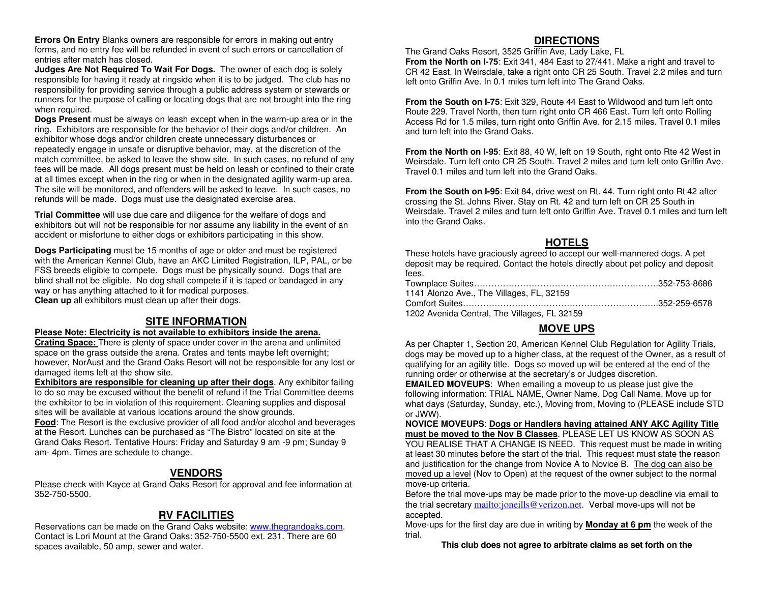**Errors On Entry** Blanks owners are responsible for errors in making out entry forms, and no entry fee will be refunded in event of such errors or cancellation of entries after match has closed.

 **Judges Are Not Required To Wait For Dogs.** The owner of each dog is solely responsible for having it ready at ringside when it is to be judged. The club has no responsibility for providing service through a public address system or stewards or runners for the purpose of calling or locating dogs that are not brought into the ring when required.

 **Dogs Present** must be always on leash except when in the warm-up area or in the ring. Exhibitors are responsible for the behavior of their dogs and/or children. An exhibitor whose dogs and/or children create unnecessary disturbances or repeatedly engage in unsafe or disruptive behavior, may, at the discretion of the match committee, be asked to leave the show site. In such cases, no refund of any fees will be made. All dogs present must be held on leash or confined to their crate at all times except when in the ring or when in the designated agility warm-up area. The site will be monitored, and offenders will be asked to leave. In such cases, no refunds will be made. Dogs must use the designated exercise area.

**Trial Committee** will use due care and diligence for the welfare of dogs and exhibitors but will not be responsible for nor assume any liability in the event of an accident or misfortune to either dogs or exhibitors participating in this show.

**Dogs Participating** must be 15 months of age or older and must be registered with the American Kennel Club, have an AKC Limited Registration, ILP, PAL, or be FSS breeds eligible to compete. Dogs must be physically sound. Dogs that are blind shall not be eligible. No dog shall compete if it is taped or bandaged in any way or has anything attached to it for medical purposes. **Clean up** all exhibitors must clean up after their dogs.

#### **SITE INFORMATION**

#### **Please Note: Electricity is not available to exhibitors inside the arena.**

 **Crating Space:** There is plenty of space under cover in the arena and unlimited space on the grass outside the arena. Crates and tents maybe left overnight; however, NorAust and the Grand Oaks Resort will not be responsible for any lost or damaged items left at the show site.

 **Exhibitors are responsible for cleaning up after their dogs**. Any exhibitor failing to do so may be excused without the benefit of refund if the Trial Committee deems the exhibitor to be in violation of this requirement. Cleaning supplies and disposal sites will be available at various locations around the show grounds.

 **Food**: The Resort is the exclusive provider of all food and/or alcohol and beverages at the Resort. Lunches can be purchased as "The Bistro" located on site at the Grand Oaks Resort. Tentative Hours: Friday and Saturday 9 am -9 pm; Sunday 9 am- 4pm. Times are schedule to change.

#### **VENDORS**

 Please check with Kayce at Grand Oaks Resort for approval and fee information at 352-750-5500.

#### **RV FACILITIES**

Reservations can be made on the Grand Oaks website: www.thegrandoaks.com. Contact is Lori Mount at the Grand Oaks: 352-750-5500 ext. 231. There are 60 spaces available, 50 amp, sewer and water.

#### **DIRECTIONS**

 The Grand Oaks Resort, 3525 Griffin Ave, Lady Lake, FL **From the North on I-75**: Exit 341, 484 East to 27/441. Make a right and travel to CR 42 East. In Weirsdale, take a right onto CR 25 South. Travel 2.2 miles and turn left onto Griffin Ave. In 0.1 miles turn left into The Grand Oaks.

**From the South on I-75:** Exit 329. Route 44 East to Wildwood and turn left onto Route 229. Travel North, then turn right onto CR 466 East. Turn left onto Rolling Access Rd for 1.5 miles, turn right onto Griffin Ave. for 2.15 miles. Travel 0.1 miles and turn left into the Grand Oaks.

**From the North on I-95**: Exit 88, 40 W, left on 19 South, right onto Rte 42 West in Weirsdale. Turn left onto CR 25 South. Travel 2 miles and turn left onto Griffin Ave. Travel 0.1 miles and turn left into the Grand Oaks.

**From the South on I-95**: Exit 84, drive west on Rt. 44. Turn right onto Rt 42 after crossing the St. Johns River. Stay on Rt. 42 and turn left on CR 25 South in Weirsdale. Travel 2 miles and turn left onto Griffin Ave. Travel 0.1 miles and turn left into the Grand Oaks.

#### **HOTELS**

 These hotels have graciously agreed to accept our well-mannered dogs. A pet deposit may be required. Contact the hotels directly about pet policy and deposit fees.

| 1141 Alonzo Ave., The Villages, FL, 32159    |  |
|----------------------------------------------|--|
|                                              |  |
| 1202 Avenida Central, The Villages, FL 32159 |  |

### **MOVE UPS**

 As per Chapter 1, Section 20, American Kennel Club Regulation for Agility Trials, dogs may be moved up to a higher class, at the request of the Owner, as a result of qualifying for an agility title. Dogs so moved up will be entered at the end of the running order or otherwise at the secretary's or Judges discretion.

 **EMAILED MOVEUPS**: When emailing a moveup to us please just give the following information: TRIAL NAME, Owner Name. Dog Call Name, Move up for what days (Saturday, Sunday, etc.), Moving from, Moving to (PLEASE include STD or JWW).

 **NOVICE MOVEUPS**: **Dogs or Handlers having attained ANY AKC Agility Title must be moved to the Nov B Classes**. PLEASE LET US KNOW AS SOON AS YOU REALISE THAT A CHANGE IS NEED. This request must be made in writing at least 30 minutes before the start of the trial. This request must state the reason and justification for the change from Novice A to Novice B. The dog can also be moved up a level (Nov to Open) at the request of the owner subject to the normal move-up criteria.

 Before the trial move-ups may be made prior to the move-up deadline via email to the trial secretary <u>mailto:joneills@verizon.net</u>. Verbal move-ups will not be accepted.

 Move-ups for the first day are due in writing by **Monday at 6 pm** the week of the trial.

**This club does not agree to arbitrate claims as set forth on the**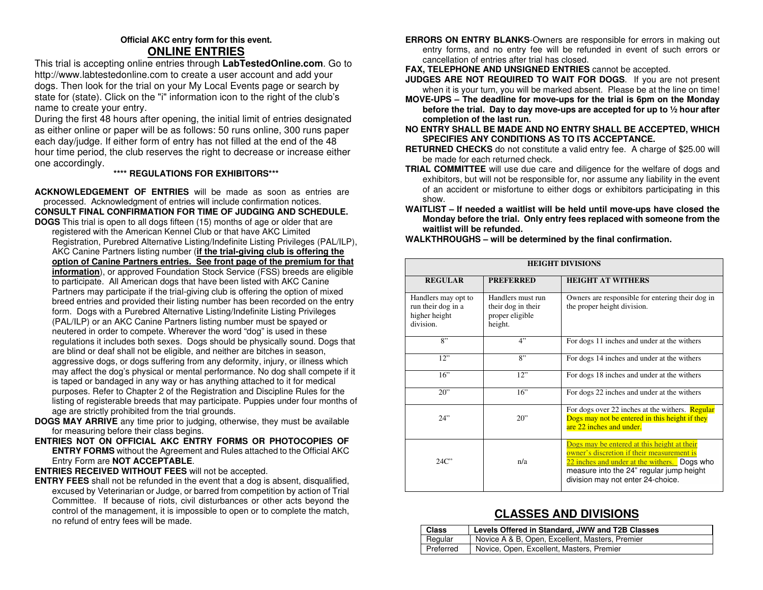#### **Official AKC entry form for this event. ONLINE ENTRIES**

 This trial is accepting online entries through **LabTestedOnline.com**. Go to http://www.labtestedonline.com to create a user account and add your dogs. Then look for the trial on your My Local Events page or search by state for (state). Click on the "i" information icon to the right of the club's name to create your entry.

 During the first 48 hours after opening, the initial limit of entries designated as either online or paper will be as follows: 50 runs online, 300 runs paper each day/judge. If either form of entry has not filled at the end of the 48 hour time period, the club reserves the right to decrease or increase either one accordingly.

#### **\*\*\*\* REGULATIONS FOR EXHIBITORS\*\*\***

**ACKNOWLEDGEMENT OF ENTRIES** will be made as soon as entries are processed. Acknowledgment of entries will include confirmation notices. **CONSULT FINAL CONFIRMATION FOR TIME OF JUDGING AND SCHEDULE.** 

- **DOGS** This trial is open to all dogs fifteen (15) months of age or older that are registered with the American Kennel Club or that have AKC Limited Registration, Purebred Alternative Listing/Indefinite Listing Privileges (PAL/ILP), AKC Canine Partners listing number (**if the trial-giving club is offering the option of Canine Partners entries. See front page of the premium for that information**), or approved Foundation Stock Service (FSS) breeds are eligible to participate*.* All American dogs that have been listed with AKC Canine Partners may participate if the trial-giving club is offering the option of mixed breed entries and provided their listing number has been recorded on the entry form. Dogs with a Purebred Alternative Listing/Indefinite Listing Privileges (PAL/ILP) or an AKC Canine Partners listing number must be spayed or neutered in order to compete. Wherever the word "dog" is used in these regulations it includes both sexes. Dogs should be physically sound. Dogs that are blind or deaf shall not be eligible, and neither are bitches in season, aggressive dogs, or dogs suffering from any deformity, injury, or illness which may affect the dog's physical or mental performance. No dog shall compete if it is taped or bandaged in any way or has anything attached to it for medical purposes. Refer to Chapter 2 of the Registration and Discipline Rules for the listing of registerable breeds that may participate. Puppies under four months of age are strictly prohibited from the trial grounds.
- **DOGS MAY ARRIVE** any time prior to judging, otherwise, they must be available for measuring before their class begins.
- **ENTRIES NOT ON OFFICIAL AKC ENTRY FORMS OR PHOTOCOPIES OF ENTRY FORMS** without the Agreement and Rules attached to the Official AKC Entry Form are **NOT ACCEPTABLE**.

#### **ENTRIES RECEIVED WITHOUT FEES** will not be accepted.

 **ENTRY FEES** shall not be refunded in the event that a dog is absent, disqualified, excused by Veterinarian or Judge, or barred from competition by action of Trial Committee. If because of riots, civil disturbances or other acts beyond the control of the management, it is impossible to open or to complete the match, no refund of entry fees will be made.

**ERRORS ON ENTRY BLANKS**-Owners are responsible for errors in making out entry forms, and no entry fee will be refunded in event of such errors or cancellation of entries after trial has closed.

**FAX, TELEPHONE AND UNSIGNED ENTRIES** cannot be accepted.

- **JUDGES ARE NOT REQUIRED TO WAIT FOR DOGS**. If you are not present when it is your turn, you will be marked absent. Please be at the line on time!
- **MOVE-UPS The deadline for move-ups for the trial is 6pm on the Monday before the trial. Day to day move-ups are accepted for up to ½ hour after completion of the last run.**
- **NO ENTRY SHALL BE MADE AND NO ENTRY SHALL BE ACCEPTED, WHICH SPECIFIES ANY CONDITIONS AS TO ITS ACCEPTANCE.**
- **RETURNED CHECKS** do not constitute a valid entry fee. A charge of \$25.00 will be made for each returned check.
- **TRIAL COMMITTEE** will use due care and diligence for the welfare of dogs and exhibitors, but will not be responsible for, nor assume any liability in the event of an accident or misfortune to either dogs or exhibitors participating in this show.
- **WAITLIST If needed a waitlist will be held until move-ups have closed the Monday before the trial. Only entry fees replaced with someone from the waitlist will be refunded.**
- **WALKTHROUGHS will be determined by the final confirmation.**

|                                                                         | <b>HEIGHT DIVISIONS</b>                                               |                                                                                                                                                                                                                            |  |  |  |  |  |  |  |  |
|-------------------------------------------------------------------------|-----------------------------------------------------------------------|----------------------------------------------------------------------------------------------------------------------------------------------------------------------------------------------------------------------------|--|--|--|--|--|--|--|--|
| <b>REGULAR</b>                                                          | <b>PREFERRED</b>                                                      | <b>HEIGHT AT WITHERS</b>                                                                                                                                                                                                   |  |  |  |  |  |  |  |  |
| Handlers may opt to<br>run their dog in a<br>higher height<br>division. | Handlers must run<br>their dog in their<br>proper eligible<br>height. | Owners are responsible for entering their dog in<br>the proper height division.                                                                                                                                            |  |  |  |  |  |  |  |  |
| 8"                                                                      | 4"                                                                    | For dogs 11 inches and under at the withers                                                                                                                                                                                |  |  |  |  |  |  |  |  |
| 12"                                                                     | 8"                                                                    | For dogs 14 inches and under at the withers                                                                                                                                                                                |  |  |  |  |  |  |  |  |
| 16"                                                                     | 12"                                                                   | For dogs 18 inches and under at the withers                                                                                                                                                                                |  |  |  |  |  |  |  |  |
| 20"                                                                     | 16"                                                                   | For dogs 22 inches and under at the withers                                                                                                                                                                                |  |  |  |  |  |  |  |  |
| 24"                                                                     | 20"                                                                   | For dogs over 22 inches at the withers. Regular<br>Dogs may not be entered in this height if they<br>are 22 inches and under.                                                                                              |  |  |  |  |  |  |  |  |
| 24C                                                                     | n/a                                                                   | Dogs may be entered at this height at their<br>owner's discretion if their measurement is<br>22 inches and under at the withers. Dogs who<br>measure into the 24" regular jump height<br>division may not enter 24-choice. |  |  |  |  |  |  |  |  |

### **CLASSES AND DIVISIONS**

| <b>Class</b> | Levels Offered in Standard, JWW and T2B Classes |
|--------------|-------------------------------------------------|
| Regular      | Novice A & B, Open, Excellent, Masters, Premier |
| Preferred    | Novice, Open, Excellent, Masters, Premier       |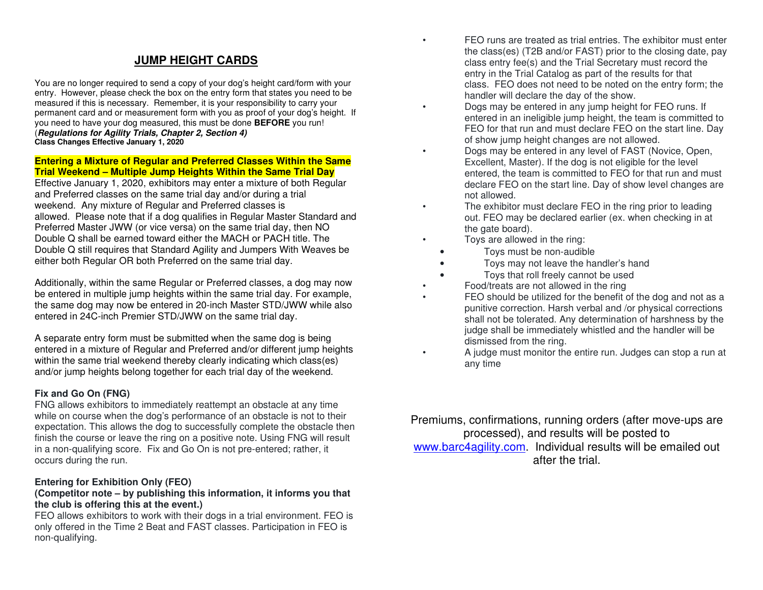## **JUMP HEIGHT CARDS**

You are no longer required to send a copy of your dog's height card/form with your entry. However, please check the box on the entry form that states you need to be measured if this is necessary. Remember, it is your responsibility to carry your permanent card and or measurement form with you as proof of your dog's height. If you need to have your dog measured, this must be done **BEFORE** you run! (**Regulations for Agility Trials, Chapter 2, Section 4)Class Changes Effective January 1, 2020** 

#### **Entering a Mixture of Regular and Preferred Classes Within the Same Trial Weekend – Multiple Jump Heights Within the Same Trial Day**

 Effective January 1, 2020, exhibitors may enter a mixture of both Regular and Preferred classes on the same trial day and/or during a trial weekend. Any mixture of Regular and Preferred classes is allowed. Please note that if a dog qualifies in Regular Master Standard and Preferred Master JWW (or vice versa) on the same trial day, then NO Double Q shall be earned toward either the MACH or PACH title. The Double Q still requires that Standard Agility and Jumpers With Weaves be either both Regular OR both Preferred on the same trial day.

Additionally, within the same Regular or Preferred classes, a dog may now be entered in multiple jump heights within the same trial day. For example, the same dog may now be entered in 20-inch Master STD/JWW while also entered in 24C-inch Premier STD/JWW on the same trial day.

A separate entry form must be submitted when the same dog is being entered in a mixture of Regular and Preferred and/or different jump heights within the same trial weekend thereby clearly indicating which class(es) and/or jump heights belong together for each trial day of the weekend.

#### **Fix and Go On (FNG)**

 FNG allows exhibitors to immediately reattempt an obstacle at any time while on course when the dog's performance of an obstacle is not to their expectation. This allows the dog to successfully complete the obstacle then finish the course or leave the ring on a positive note. Using FNG will result in a non-qualifying score. Fix and Go On is not pre-entered; rather, it occurs during the run.

#### **Entering for Exhibition Only (FEO)**

#### **(Competitor note – by publishing this information, it informs you that the club is offering this at the event.)**

 FEO allows exhibitors to work with their dogs in a trial environment. FEO is only offered in the Time 2 Beat and FAST classes. Participation in FEO is non-qualifying.

• FEO runs are treated as trial entries. The exhibitor must enter the class(es) (T2B and/or FAST) prior to the closing date, pay class entry fee(s) and the Trial Secretary must record the entry in the Trial Catalog as part of the results for that class. FEO does not need to be noted on the entry form; the handler will declare the day of the show.

- Dogs may be entered in any jump height for FEO runs. If entered in an ineligible jump height, the team is committed to FEO for that run and must declare FEO on the start line. Day of show jump height changes are not allowed.
- Dogs may be entered in any level of FAST (Novice, Open, Excellent, Master). If the dog is not eligible for the level entered, the team is committed to FEO for that run and must declare FEO on the start line. Day of show level changes are not allowed.
- The exhibitor must declare FEO in the ring prior to leading out. FEO may be declared earlier (ex. when checking in at the gate board).
- Toys are allowed in the ring:
	- Toys must be non-audible
	- Toys may not leave the handler's hand
	- Toys that roll freely cannot be used
- Food/treats are not allowed in the ring
- FEO should be utilized for the benefit of the dog and not as a punitive correction. Harsh verbal and /or physical corrections shall not be tolerated. Any determination of harshness by the judge shall be immediately whistled and the handler will be dismissed from the ring.
- A judge must monitor the entire run. Judges can stop a run at any time

Premiums, confirmations, running orders (after move-ups are processed), and results will be posted to www.barc4agility.com. Individual results will be emailed out after the trial.